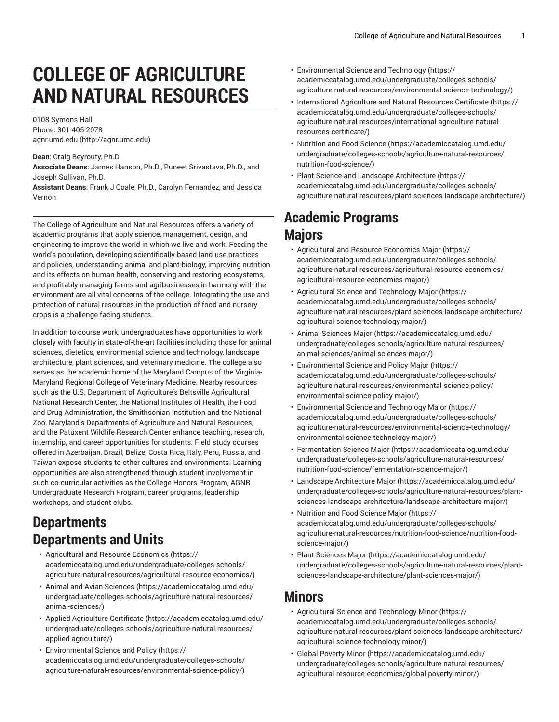# **COLLEGE OF AGRICULTURE AND NATURAL RESOURCES**

0108 Symons Hall Phone: 301-405-2078 [agnr.umd.edu](http://agnr.umd.edu) (<http://agnr.umd.edu>)

**Dean**: Craig Beyrouty, Ph.D.

**Associate Deans**: James Hanson, Ph.D., Puneet Srivastava, Ph.D., and Joseph Sullivan, Ph.D.

**Assistant Deans**: Frank J Coale, Ph.D., Carolyn Fernandez, and Jessica Vernon

The College of Agriculture and Natural Resources offers a variety of academic programs that apply science, management, design, and engineering to improve the world in which we live and work. Feeding the world's population, developing scientifically-based land-use practices and policies, understanding animal and plant biology, improving nutrition and its effects on human health, conserving and restoring ecosystems, and profitably managing farms and agribusinesses in harmony with the environment are all vital concerns of the college. Integrating the use and protection of natural resources in the production of food and nursery crops is a challenge facing students.

In addition to course work, undergraduates have opportunities to work closely with faculty in state-of-the-art facilities including those for animal sciences, dietetics, environmental science and technology, landscape architecture, plant sciences, and veterinary medicine. The college also serves as the academic home of the Maryland Campus of the Virginia-Maryland Regional College of Veterinary Medicine. Nearby resources such as the U.S. Department of Agriculture's Beltsville Agricultural National Research Center, the National Institutes of Health, the Food and Drug Administration, the Smithsonian Institution and the National Zoo, Maryland's Departments of Agriculture and Natural Resources, and the Patuxent Wildlife Research Center enhance teaching, research, internship, and career opportunities for students. Field study courses offered in Azerbaijan, Brazil, Belize, Costa Rica, Italy, Peru, Russia, and Taiwan expose students to other cultures and environments. Learning opportunities are also strengthened through student involvement in such co-curricular activities as the College Honors Program, AGNR Undergraduate Research Program, career programs, leadership workshops, and student clubs.

## **Departments Departments and Units**

- [Agricultural](https://academiccatalog.umd.edu/undergraduate/colleges-schools/agriculture-natural-resources/agricultural-resource-economics/) and Resource Economics ([https://](https://academiccatalog.umd.edu/undergraduate/colleges-schools/agriculture-natural-resources/agricultural-resource-economics/) [academiccatalog.umd.edu/undergraduate/colleges-schools/](https://academiccatalog.umd.edu/undergraduate/colleges-schools/agriculture-natural-resources/agricultural-resource-economics/) [agriculture-natural-resources/agricultural-resource-economics/\)](https://academiccatalog.umd.edu/undergraduate/colleges-schools/agriculture-natural-resources/agricultural-resource-economics/)
- [Animal and Avian Sciences](https://academiccatalog.umd.edu/undergraduate/colleges-schools/agriculture-natural-resources/animal-sciences/) ([https://academiccatalog.umd.edu/](https://academiccatalog.umd.edu/undergraduate/colleges-schools/agriculture-natural-resources/animal-sciences/) [undergraduate/colleges-schools/agriculture-natural-resources/](https://academiccatalog.umd.edu/undergraduate/colleges-schools/agriculture-natural-resources/animal-sciences/) [animal-sciences/\)](https://academiccatalog.umd.edu/undergraduate/colleges-schools/agriculture-natural-resources/animal-sciences/)
- Applied [Agriculture](https://academiccatalog.umd.edu/undergraduate/colleges-schools/agriculture-natural-resources/applied-agriculture/) Certificate [\(https://academiccatalog.umd.edu/](https://academiccatalog.umd.edu/undergraduate/colleges-schools/agriculture-natural-resources/applied-agriculture/) [undergraduate/colleges-schools/agriculture-natural-resources/](https://academiccatalog.umd.edu/undergraduate/colleges-schools/agriculture-natural-resources/applied-agriculture/) [applied-agriculture/](https://academiccatalog.umd.edu/undergraduate/colleges-schools/agriculture-natural-resources/applied-agriculture/))
- [Environmental](https://academiccatalog.umd.edu/undergraduate/colleges-schools/agriculture-natural-resources/environmental-science-policy/) Science and Policy [\(https://](https://academiccatalog.umd.edu/undergraduate/colleges-schools/agriculture-natural-resources/environmental-science-policy/) [academiccatalog.umd.edu/undergraduate/colleges-schools/](https://academiccatalog.umd.edu/undergraduate/colleges-schools/agriculture-natural-resources/environmental-science-policy/) [agriculture-natural-resources/environmental-science-policy/](https://academiccatalog.umd.edu/undergraduate/colleges-schools/agriculture-natural-resources/environmental-science-policy/))
- [Environmental](https://academiccatalog.umd.edu/undergraduate/colleges-schools/agriculture-natural-resources/environmental-science-technology/) Science and Technology [\(https://](https://academiccatalog.umd.edu/undergraduate/colleges-schools/agriculture-natural-resources/environmental-science-technology/) [academiccatalog.umd.edu/undergraduate/colleges-schools/](https://academiccatalog.umd.edu/undergraduate/colleges-schools/agriculture-natural-resources/environmental-science-technology/) [agriculture-natural-resources/environmental-science-technology/](https://academiccatalog.umd.edu/undergraduate/colleges-schools/agriculture-natural-resources/environmental-science-technology/))
- [International](https://academiccatalog.umd.edu/undergraduate/colleges-schools/agriculture-natural-resources/international-agriculture-natural-resources-certificate/) Agriculture and Natural Resources Certificate [\(https://](https://academiccatalog.umd.edu/undergraduate/colleges-schools/agriculture-natural-resources/international-agriculture-natural-resources-certificate/) [academiccatalog.umd.edu/undergraduate/colleges-schools/](https://academiccatalog.umd.edu/undergraduate/colleges-schools/agriculture-natural-resources/international-agriculture-natural-resources-certificate/) [agriculture-natural-resources/international-agriculture-natural](https://academiccatalog.umd.edu/undergraduate/colleges-schools/agriculture-natural-resources/international-agriculture-natural-resources-certificate/)[resources-certificate/](https://academiccatalog.umd.edu/undergraduate/colleges-schools/agriculture-natural-resources/international-agriculture-natural-resources-certificate/))
- [Nutrition](https://academiccatalog.umd.edu/undergraduate/colleges-schools/agriculture-natural-resources/nutrition-food-science/) and Food Science ([https://academiccatalog.umd.edu/](https://academiccatalog.umd.edu/undergraduate/colleges-schools/agriculture-natural-resources/nutrition-food-science/) [undergraduate/colleges-schools/agriculture-natural-resources/](https://academiccatalog.umd.edu/undergraduate/colleges-schools/agriculture-natural-resources/nutrition-food-science/) [nutrition-food-science/\)](https://academiccatalog.umd.edu/undergraduate/colleges-schools/agriculture-natural-resources/nutrition-food-science/)
- Plant Science and Landscape [Architecture \(https://](https://academiccatalog.umd.edu/undergraduate/colleges-schools/agriculture-natural-resources/plant-sciences-landscape-architecture/) [academiccatalog.umd.edu/undergraduate/colleges-schools/](https://academiccatalog.umd.edu/undergraduate/colleges-schools/agriculture-natural-resources/plant-sciences-landscape-architecture/) [agriculture-natural-resources/plant-sciences-landscape-architecture/\)](https://academiccatalog.umd.edu/undergraduate/colleges-schools/agriculture-natural-resources/plant-sciences-landscape-architecture/)

## **Academic Programs Majors**

- [Agricultural](https://academiccatalog.umd.edu/undergraduate/colleges-schools/agriculture-natural-resources/agricultural-resource-economics/agricultural-resource-economics-major/) and Resource Economics Major ([https://](https://academiccatalog.umd.edu/undergraduate/colleges-schools/agriculture-natural-resources/agricultural-resource-economics/agricultural-resource-economics-major/) [academiccatalog.umd.edu/undergraduate/colleges-schools/](https://academiccatalog.umd.edu/undergraduate/colleges-schools/agriculture-natural-resources/agricultural-resource-economics/agricultural-resource-economics-major/) [agriculture-natural-resources/agricultural-resource-economics/](https://academiccatalog.umd.edu/undergraduate/colleges-schools/agriculture-natural-resources/agricultural-resource-economics/agricultural-resource-economics-major/) [agricultural-resource-economics-major/\)](https://academiccatalog.umd.edu/undergraduate/colleges-schools/agriculture-natural-resources/agricultural-resource-economics/agricultural-resource-economics-major/)
- [Agricultural](https://academiccatalog.umd.edu/undergraduate/colleges-schools/agriculture-natural-resources/plant-sciences-landscape-architecture/agricultural-science-technology-major/) Science and Technology Major ([https://](https://academiccatalog.umd.edu/undergraduate/colleges-schools/agriculture-natural-resources/plant-sciences-landscape-architecture/agricultural-science-technology-major/) [academiccatalog.umd.edu/undergraduate/colleges-schools/](https://academiccatalog.umd.edu/undergraduate/colleges-schools/agriculture-natural-resources/plant-sciences-landscape-architecture/agricultural-science-technology-major/) [agriculture-natural-resources/plant-sciences-landscape-architecture/](https://academiccatalog.umd.edu/undergraduate/colleges-schools/agriculture-natural-resources/plant-sciences-landscape-architecture/agricultural-science-technology-major/) [agricultural-science-technology-major/\)](https://academiccatalog.umd.edu/undergraduate/colleges-schools/agriculture-natural-resources/plant-sciences-landscape-architecture/agricultural-science-technology-major/)
- [Animal Sciences Major](https://academiccatalog.umd.edu/undergraduate/colleges-schools/agriculture-natural-resources/animal-sciences/animal-sciences-major/) ([https://academiccatalog.umd.edu/](https://academiccatalog.umd.edu/undergraduate/colleges-schools/agriculture-natural-resources/animal-sciences/animal-sciences-major/) [undergraduate/colleges-schools/agriculture-natural-resources/](https://academiccatalog.umd.edu/undergraduate/colleges-schools/agriculture-natural-resources/animal-sciences/animal-sciences-major/) [animal-sciences/animal-sciences-major/\)](https://academiccatalog.umd.edu/undergraduate/colleges-schools/agriculture-natural-resources/animal-sciences/animal-sciences-major/)
- [Environmental](https://academiccatalog.umd.edu/undergraduate/colleges-schools/agriculture-natural-resources/environmental-science-policy/environmental-science-policy-major/) Science and Policy Major [\(https://](https://academiccatalog.umd.edu/undergraduate/colleges-schools/agriculture-natural-resources/environmental-science-policy/environmental-science-policy-major/) [academiccatalog.umd.edu/undergraduate/colleges-schools/](https://academiccatalog.umd.edu/undergraduate/colleges-schools/agriculture-natural-resources/environmental-science-policy/environmental-science-policy-major/) [agriculture-natural-resources/environmental-science-policy/](https://academiccatalog.umd.edu/undergraduate/colleges-schools/agriculture-natural-resources/environmental-science-policy/environmental-science-policy-major/) [environmental-science-policy-major/](https://academiccatalog.umd.edu/undergraduate/colleges-schools/agriculture-natural-resources/environmental-science-policy/environmental-science-policy-major/))
- [Environmental](https://academiccatalog.umd.edu/undergraduate/colleges-schools/agriculture-natural-resources/environmental-science-technology/environmental-science-technology-major/) Science and Technology Major [\(https://](https://academiccatalog.umd.edu/undergraduate/colleges-schools/agriculture-natural-resources/environmental-science-technology/environmental-science-technology-major/) [academiccatalog.umd.edu/undergraduate/colleges-schools/](https://academiccatalog.umd.edu/undergraduate/colleges-schools/agriculture-natural-resources/environmental-science-technology/environmental-science-technology-major/) [agriculture-natural-resources/environmental-science-technology/](https://academiccatalog.umd.edu/undergraduate/colleges-schools/agriculture-natural-resources/environmental-science-technology/environmental-science-technology-major/) [environmental-science-technology-major/](https://academiccatalog.umd.edu/undergraduate/colleges-schools/agriculture-natural-resources/environmental-science-technology/environmental-science-technology-major/))
- [Fermentation](https://academiccatalog.umd.edu/undergraduate/colleges-schools/agriculture-natural-resources/nutrition-food-science/fermentation-science-major/) Science Major ([https://academiccatalog.umd.edu/](https://academiccatalog.umd.edu/undergraduate/colleges-schools/agriculture-natural-resources/nutrition-food-science/fermentation-science-major/) [undergraduate/colleges-schools/agriculture-natural-resources/](https://academiccatalog.umd.edu/undergraduate/colleges-schools/agriculture-natural-resources/nutrition-food-science/fermentation-science-major/) [nutrition-food-science/fermentation-science-major/](https://academiccatalog.umd.edu/undergraduate/colleges-schools/agriculture-natural-resources/nutrition-food-science/fermentation-science-major/))
- Landscape [Architecture](https://academiccatalog.umd.edu/undergraduate/colleges-schools/agriculture-natural-resources/plant-sciences-landscape-architecture/landscape-architecture-major/) Major [\(https://academiccatalog.umd.edu/](https://academiccatalog.umd.edu/undergraduate/colleges-schools/agriculture-natural-resources/plant-sciences-landscape-architecture/landscape-architecture-major/) [undergraduate/colleges-schools/agriculture-natural-resources/plant](https://academiccatalog.umd.edu/undergraduate/colleges-schools/agriculture-natural-resources/plant-sciences-landscape-architecture/landscape-architecture-major/)[sciences-landscape-architecture/landscape-architecture-major/\)](https://academiccatalog.umd.edu/undergraduate/colleges-schools/agriculture-natural-resources/plant-sciences-landscape-architecture/landscape-architecture-major/)
- [Nutrition](https://academiccatalog.umd.edu/undergraduate/colleges-schools/agriculture-natural-resources/nutrition-food-science/nutrition-food-science-major/) and Food Science Major [\(https://](https://academiccatalog.umd.edu/undergraduate/colleges-schools/agriculture-natural-resources/nutrition-food-science/nutrition-food-science-major/) [academiccatalog.umd.edu/undergraduate/colleges-schools/](https://academiccatalog.umd.edu/undergraduate/colleges-schools/agriculture-natural-resources/nutrition-food-science/nutrition-food-science-major/) [agriculture-natural-resources/nutrition-food-science/nutrition-food](https://academiccatalog.umd.edu/undergraduate/colleges-schools/agriculture-natural-resources/nutrition-food-science/nutrition-food-science-major/)[science-major/](https://academiccatalog.umd.edu/undergraduate/colleges-schools/agriculture-natural-resources/nutrition-food-science/nutrition-food-science-major/))
- [Plant Sciences Major \(https://academiccatalog.umd.edu/](https://academiccatalog.umd.edu/undergraduate/colleges-schools/agriculture-natural-resources/plant-sciences-landscape-architecture/plant-sciences-major/) [undergraduate/colleges-schools/agriculture-natural-resources/plant](https://academiccatalog.umd.edu/undergraduate/colleges-schools/agriculture-natural-resources/plant-sciences-landscape-architecture/plant-sciences-major/)[sciences-landscape-architecture/plant-sciences-major/\)](https://academiccatalog.umd.edu/undergraduate/colleges-schools/agriculture-natural-resources/plant-sciences-landscape-architecture/plant-sciences-major/)

## **Minors**

- [Agricultural](https://academiccatalog.umd.edu/undergraduate/colleges-schools/agriculture-natural-resources/plant-sciences-landscape-architecture/agricultural-science-technology-minor/) Science and Technology Minor [\(https://](https://academiccatalog.umd.edu/undergraduate/colleges-schools/agriculture-natural-resources/plant-sciences-landscape-architecture/agricultural-science-technology-minor/) [academiccatalog.umd.edu/undergraduate/colleges-schools/](https://academiccatalog.umd.edu/undergraduate/colleges-schools/agriculture-natural-resources/plant-sciences-landscape-architecture/agricultural-science-technology-minor/) [agriculture-natural-resources/plant-sciences-landscape-architecture/](https://academiccatalog.umd.edu/undergraduate/colleges-schools/agriculture-natural-resources/plant-sciences-landscape-architecture/agricultural-science-technology-minor/) [agricultural-science-technology-minor/\)](https://academiccatalog.umd.edu/undergraduate/colleges-schools/agriculture-natural-resources/plant-sciences-landscape-architecture/agricultural-science-technology-minor/)
- Global [Poverty](https://academiccatalog.umd.edu/undergraduate/colleges-schools/agriculture-natural-resources/agricultural-resource-economics/global-poverty-minor/) Minor [\(https://academiccatalog.umd.edu/](https://academiccatalog.umd.edu/undergraduate/colleges-schools/agriculture-natural-resources/agricultural-resource-economics/global-poverty-minor/) [undergraduate/colleges-schools/agriculture-natural-resources/](https://academiccatalog.umd.edu/undergraduate/colleges-schools/agriculture-natural-resources/agricultural-resource-economics/global-poverty-minor/) [agricultural-resource-economics/global-poverty-minor/](https://academiccatalog.umd.edu/undergraduate/colleges-schools/agriculture-natural-resources/agricultural-resource-economics/global-poverty-minor/))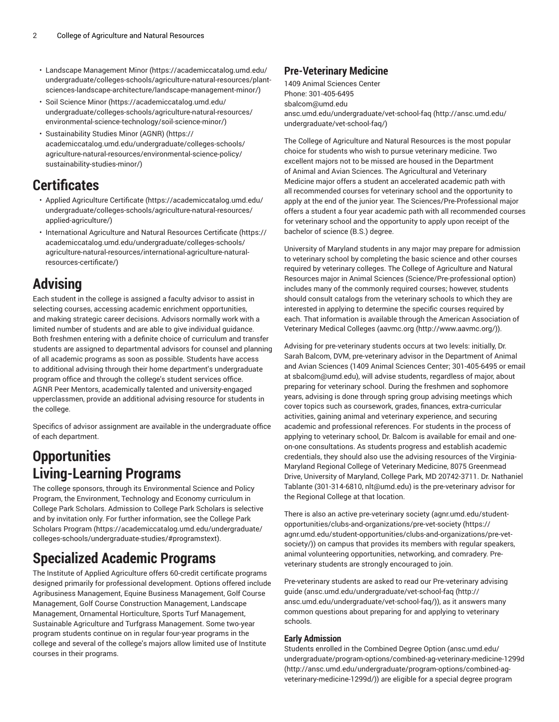- [Landscape Management Minor \(https://academiccatalog.umd.edu/](https://academiccatalog.umd.edu/undergraduate/colleges-schools/agriculture-natural-resources/plant-sciences-landscape-architecture/landscape-management-minor/) [undergraduate/colleges-schools/agriculture-natural-resources/plant](https://academiccatalog.umd.edu/undergraduate/colleges-schools/agriculture-natural-resources/plant-sciences-landscape-architecture/landscape-management-minor/)[sciences-landscape-architecture/landscape-management-minor/](https://academiccatalog.umd.edu/undergraduate/colleges-schools/agriculture-natural-resources/plant-sciences-landscape-architecture/landscape-management-minor/))
- [Soil Science Minor \(https://academiccatalog.umd.edu/](https://academiccatalog.umd.edu/undergraduate/colleges-schools/agriculture-natural-resources/environmental-science-technology/soil-science-minor/) [undergraduate/colleges-schools/agriculture-natural-resources/](https://academiccatalog.umd.edu/undergraduate/colleges-schools/agriculture-natural-resources/environmental-science-technology/soil-science-minor/) [environmental-science-technology/soil-science-minor/\)](https://academiccatalog.umd.edu/undergraduate/colleges-schools/agriculture-natural-resources/environmental-science-technology/soil-science-minor/)
- [Sustainability Studies Minor \(AGNR\)](https://academiccatalog.umd.edu/undergraduate/colleges-schools/agriculture-natural-resources/environmental-science-policy/sustainability-studies-minor/) ([https://](https://academiccatalog.umd.edu/undergraduate/colleges-schools/agriculture-natural-resources/environmental-science-policy/sustainability-studies-minor/) [academiccatalog.umd.edu/undergraduate/colleges-schools/](https://academiccatalog.umd.edu/undergraduate/colleges-schools/agriculture-natural-resources/environmental-science-policy/sustainability-studies-minor/) [agriculture-natural-resources/environmental-science-policy/](https://academiccatalog.umd.edu/undergraduate/colleges-schools/agriculture-natural-resources/environmental-science-policy/sustainability-studies-minor/) [sustainability-studies-minor/](https://academiccatalog.umd.edu/undergraduate/colleges-schools/agriculture-natural-resources/environmental-science-policy/sustainability-studies-minor/))

## **Certificates**

- Applied [Agriculture](https://academiccatalog.umd.edu/undergraduate/colleges-schools/agriculture-natural-resources/applied-agriculture/) Certificate [\(https://academiccatalog.umd.edu/](https://academiccatalog.umd.edu/undergraduate/colleges-schools/agriculture-natural-resources/applied-agriculture/) [undergraduate/colleges-schools/agriculture-natural-resources/](https://academiccatalog.umd.edu/undergraduate/colleges-schools/agriculture-natural-resources/applied-agriculture/) [applied-agriculture/](https://academiccatalog.umd.edu/undergraduate/colleges-schools/agriculture-natural-resources/applied-agriculture/))
- [International](https://academiccatalog.umd.edu/undergraduate/colleges-schools/agriculture-natural-resources/international-agriculture-natural-resources-certificate/) Agriculture and Natural Resources Certificate ([https://](https://academiccatalog.umd.edu/undergraduate/colleges-schools/agriculture-natural-resources/international-agriculture-natural-resources-certificate/) [academiccatalog.umd.edu/undergraduate/colleges-schools/](https://academiccatalog.umd.edu/undergraduate/colleges-schools/agriculture-natural-resources/international-agriculture-natural-resources-certificate/) [agriculture-natural-resources/international-agriculture-natural](https://academiccatalog.umd.edu/undergraduate/colleges-schools/agriculture-natural-resources/international-agriculture-natural-resources-certificate/)[resources-certificate/](https://academiccatalog.umd.edu/undergraduate/colleges-schools/agriculture-natural-resources/international-agriculture-natural-resources-certificate/))

## **Advising**

Each student in the college is assigned a faculty advisor to assist in selecting courses, accessing academic enrichment opportunities, and making strategic career decisions. Advisors normally work with a limited number of students and are able to give individual guidance. Both freshmen entering with a definite choice of curriculum and transfer students are assigned to departmental advisors for counsel and planning of all academic programs as soon as possible. Students have access to additional advising through their home department's undergraduate program office and through the college's student services office. AGNR Peer Mentors, academically talented and university-engaged upperclassmen, provide an additional advising resource for students in the college.

Specifics of advisor assignment are available in the undergraduate office of each department.

## **Opportunities Living-Learning Programs**

The college sponsors, through its Environmental Science and Policy Program, the Environment, Technology and Economy curriculum in College Park Scholars. Admission to College Park Scholars is selective and by invitation only. For further information, see the [College](https://academiccatalog.umd.edu/undergraduate/colleges-schools/undergraduate-studies/#programstext) Park [Scholars](https://academiccatalog.umd.edu/undergraduate/colleges-schools/undergraduate-studies/#programstext) Program [\(https://academiccatalog.umd.edu/undergraduate/](https://academiccatalog.umd.edu/undergraduate/colleges-schools/undergraduate-studies/#programstext) [colleges-schools/undergraduate-studies/#programstext\)](https://academiccatalog.umd.edu/undergraduate/colleges-schools/undergraduate-studies/#programstext).

## **Specialized Academic Programs**

The Institute of Applied Agriculture offers 60-credit certificate programs designed primarily for professional development. Options offered include Agribusiness Management, Equine Business Management, Golf Course Management, Golf Course Construction Management, Landscape Management, Ornamental Horticulture, Sports Turf Management, Sustainable Agriculture and Turfgrass Management. Some two-year program students continue on in regular four-year programs in the college and several of the college's majors allow limited use of Institute courses in their programs.

### **Pre-Veterinary Medicine**

1409 Animal Sciences Center Phone: 301-405-6495 [sbalcom@umd.edu](mailto:sbalcom@umd.edu) [ansc.umd.edu/undergraduate/vet-school-faq \(http://ansc.umd.edu/](http://ansc.umd.edu/undergraduate/vet-school-faq/) [undergraduate/vet-school-faq/\)](http://ansc.umd.edu/undergraduate/vet-school-faq/)

The College of Agriculture and Natural Resources is the most popular choice for students who wish to pursue veterinary medicine. Two excellent majors not to be missed are housed in the Department of Animal and Avian Sciences. The Agricultural and Veterinary Medicine major offers a student an accelerated academic path with all recommended courses for veterinary school and the opportunity to apply at the end of the junior year. The Sciences/Pre-Professional major offers a student a four year academic path with all recommended courses for veterinary school and the opportunity to apply upon receipt of the bachelor of science (B.S.) degree.

University of Maryland students in any major may prepare for admission to veterinary school by completing the basic science and other courses required by veterinary colleges. The College of Agriculture and Natural Resources major in Animal Sciences (Science/Pre-professional option) includes many of the commonly required courses; however, students should consult catalogs from the veterinary schools to which they are interested in applying to determine the specific courses required by each. That information is available through the American Association of Veterinary Medical Colleges ([aavmc.org \(http://www.aavmc.org/\)](http://www.aavmc.org/)).

Advising for pre-veterinary students occurs at two levels: initially, Dr. Sarah Balcom, DVM, pre-veterinary advisor in the Department of Animal and Avian Sciences (1409 Animal Sciences Center; 301-405-6495 or email at [sbalcom@umd.edu](mailto:sbalcom@umd.edu)), will advise students, regardless of major, about preparing for veterinary school. During the freshmen and sophomore years, advising is done through spring group advising meetings which cover topics such as coursework, grades, finances, extra-curricular activities, gaining animal and veterinary experience, and securing academic and professional references. For students in the process of applying to veterinary school, Dr. Balcom is available for email and oneon-one consultations. As students progress and establish academic credentials, they should also use the advising resources of the Virginia-Maryland Regional College of Veterinary Medicine, 8075 Greenmead Drive, University of Maryland, College Park, MD 20742-3711. Dr. Nathaniel Tablante (301-314-6810, [nlt@umd.edu](mailto:nlt@umd.edu)) is the pre-veterinary advisor for the Regional College at that location.

There is also an active pre-veterinary society [\(agnr.umd.edu/student](https://agnr.umd.edu/student-opportunities/clubs-and-organizations/pre-vet-society/)[opportunities/clubs-and-organizations/pre-vet-society](https://agnr.umd.edu/student-opportunities/clubs-and-organizations/pre-vet-society/) ([https://](https://agnr.umd.edu/student-opportunities/clubs-and-organizations/pre-vet-society/) [agnr.umd.edu/student-opportunities/clubs-and-organizations/pre-vet](https://agnr.umd.edu/student-opportunities/clubs-and-organizations/pre-vet-society/)[society/\)](https://agnr.umd.edu/student-opportunities/clubs-and-organizations/pre-vet-society/)) on campus that provides its members with regular speakers, animal volunteering opportunities, networking, and comradery. Preveterinary students are strongly encouraged to join.

Pre-veterinary students are asked to read our Pre-veterinary advising guide ([ansc.umd.edu/undergraduate/vet-school-faq](http://ansc.umd.edu/undergraduate/vet-school-faq/) ([http://](http://ansc.umd.edu/undergraduate/vet-school-faq/) [ansc.umd.edu/undergraduate/vet-school-faq/](http://ansc.umd.edu/undergraduate/vet-school-faq/))), as it answers many common questions about preparing for and applying to veterinary schools.

#### **Early Admission**

Students enrolled in the Combined Degree Option ([ansc.umd.edu/](http://ansc.umd.edu/undergraduate/program-options/combined-ag-veterinary-medicine-1299d/) [undergraduate/program-options/combined-ag-veterinary-medicine-1299d](http://ansc.umd.edu/undergraduate/program-options/combined-ag-veterinary-medicine-1299d/) [\(http://ansc.umd.edu/undergraduate/program-options/combined-ag](http://ansc.umd.edu/undergraduate/program-options/combined-ag-veterinary-medicine-1299d/)[veterinary-medicine-1299d/](http://ansc.umd.edu/undergraduate/program-options/combined-ag-veterinary-medicine-1299d/))) are eligible for a special degree program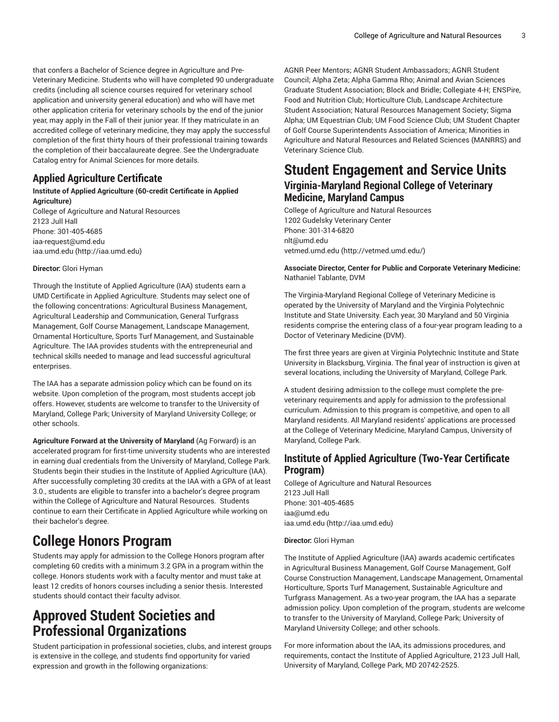that confers a Bachelor of Science degree in Agriculture and Pre-Veterinary Medicine. Students who will have completed 90 undergraduate credits (including all science courses required for veterinary school application and university general education) and who will have met other application criteria for veterinary schools by the end of the junior year, may apply in the Fall of their junior year. If they matriculate in an accredited college of veterinary medicine, they may apply the successful completion of the first thirty hours of their professional training towards the completion of their baccalaureate degree. See the Undergraduate Catalog entry for Animal Sciences for more details.

### **Applied Agriculture Certificate**

#### **Institute of Applied Agriculture (60-credit Certificate in Applied Agriculture)**

College of Agriculture and Natural Resources 2123 Jull Hall Phone: 301-405-4685 [iaa-request@umd.edu](mailto:iaa-request@umd.edu) [iaa.umd.edu](http://iaa.umd.edu) [\(http://iaa.umd.edu\)](http://iaa.umd.edu)

#### **Director:** Glori Hyman

Through the Institute of Applied Agriculture (IAA) students earn a UMD Certificate in Applied Agriculture. Students may select one of the following concentrations: Agricultural Business Management, Agricultural Leadership and Communication, General Turfgrass Management, Golf Course Management, Landscape Management, Ornamental Horticulture, Sports Turf Management, and Sustainable Agriculture. The IAA provides students with the entrepreneurial and technical skills needed to manage and lead successful agricultural enterprises.

The IAA has a separate admission policy which can be found on its website. Upon completion of the program, most students accept job offers. However, students are welcome to transfer to the University of Maryland, College Park; University of Maryland University College; or other schools.

**Agriculture Forward at the University of Maryland** (Ag Forward) is an accelerated program for first-time university students who are interested in earning dual credentials from the University of Maryland, College Park. Students begin their studies in the Institute of Applied Agriculture (IAA). After successfully completing 30 credits at the IAA with a GPA of at least 3.0., students are eligible to transfer into a bachelor's degree program within the College of Agriculture and Natural Resources. Students continue to earn their Certificate in Applied Agriculture while working on their bachelor's degree.

## **College Honors Program**

Students may apply for admission to the College Honors program after completing 60 credits with a minimum 3.2 GPA in a program within the college. Honors students work with a faculty mentor and must take at least 12 credits of honors courses including a senior thesis. Interested students should contact their faculty advisor.

## **Approved Student Societies and Professional Organizations**

Student participation in professional societies, clubs, and interest groups is extensive in the college, and students find opportunity for varied expression and growth in the following organizations:

AGNR Peer Mentors; AGNR Student Ambassadors; AGNR Student Council; Alpha Zeta; Alpha Gamma Rho; Animal and Avian Sciences Graduate Student Association; Block and Bridle; Collegiate 4-H; ENSPire, Food and Nutrition Club; Horticulture Club, Landscape Architecture Student Association; Natural Resources Management Society; Sigma Alpha; UM Equestrian Club; UM Food Science Club; UM Student Chapter of Golf Course Superintendents Association of America; Minorities in Agriculture and Natural Resources and Related Sciences (MANRRS) and Veterinary Science Club.

### **Student Engagement and Service Units Virginia-Maryland Regional College of Veterinary Medicine, Maryland Campus**

College of Agriculture and Natural Resources 1202 Gudelsky Veterinary Center Phone: 301-314-6820 [nlt@umd.edu](mailto:nlt@umd.edu) [vetmed.umd.edu \(http://vetmed.umd.edu/](http://vetmed.umd.edu/))

#### **Associate Director, Center for Public and Corporate Veterinary Medicine:** Nathaniel Tablante, DVM

The Virginia-Maryland Regional College of Veterinary Medicine is operated by the University of Maryland and the Virginia Polytechnic Institute and State University. Each year, 30 Maryland and 50 Virginia residents comprise the entering class of a four-year program leading to a Doctor of Veterinary Medicine (DVM).

The first three years are given at Virginia Polytechnic Institute and State University in Blacksburg, Virginia. The final year of instruction is given at several locations, including the University of Maryland, College Park.

A student desiring admission to the college must complete the preveterinary requirements and apply for admission to the professional curriculum. Admission to this program is competitive, and open to all Maryland residents. All Maryland residents' applications are processed at the College of Veterinary Medicine, Maryland Campus, University of Maryland, College Park.

### **Institute of Applied Agriculture (Two-Year Certificate Program)**

College of Agriculture and Natural Resources 2123 Jull Hall Phone: 301-405-4685 [iaa@umd.edu](mailto:iaa@umd.edu) [iaa.umd.edu \(http://iaa.umd.edu](http://iaa.umd.edu))

#### **Director:** Glori Hyman

The Institute of Applied Agriculture (IAA) awards academic certificates in Agricultural Business Management, Golf Course Management, Golf Course Construction Management, Landscape Management, Ornamental Horticulture, Sports Turf Management, Sustainable Agriculture and Turfgrass Management. As a two-year program, the IAA has a separate admission policy. Upon completion of the program, students are welcome to transfer to the University of Maryland, College Park; University of Maryland University College; and other schools.

For more information about the IAA, its admissions procedures, and requirements, contact the Institute of Applied Agriculture, 2123 Jull Hall, University of Maryland, College Park, MD 20742-2525.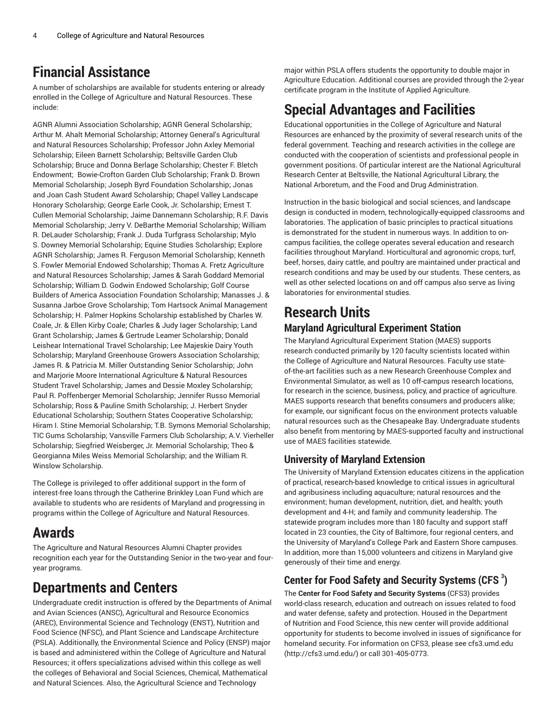## **Financial Assistance**

A number of scholarships are available for students entering or already enrolled in the College of Agriculture and Natural Resources. These include:

AGNR Alumni Association Scholarship; AGNR General Scholarship; Arthur M. Ahalt Memorial Scholarship; Attorney General's Agricultural and Natural Resources Scholarship; Professor John Axley Memorial Scholarship; Eileen Barnett Scholarship; Beltsville Garden Club Scholarship; Bruce and Donna Berlage Scholarship; Chester F. Bletch Endowment; Bowie-Crofton Garden Club Scholarship; Frank D. Brown Memorial Scholarship; Joseph Byrd Foundation Scholarship; Jonas and Joan Cash Student Award Scholarship; Chapel Valley Landscape Honorary Scholarship; George Earle Cook, Jr. Scholarship; Ernest T. Cullen Memorial Scholarship; Jaime Dannemann Scholarship; R.F. Davis Memorial Scholarship; Jerry V. DeBarthe Memorial Scholarship; William R. DeLauder Scholarship; Frank J. Duda Turfgrass Scholarship; Mylo S. Downey Memorial Scholarship; Equine Studies Scholarship; Explore AGNR Scholarship; James R. Ferguson Memorial Scholarship; Kenneth S. Fowler Memorial Endowed Scholarship; Thomas A. Fretz Agriculture and Natural Resources Scholarship; James & Sarah Goddard Memorial Scholarship; William D. Godwin Endowed Scholarship; Golf Course Builders of America Association Foundation Scholarship; Manasses J. & Susanna Jarboe Grove Scholarship; Tom Hartsock Animal Management Scholarship; H. Palmer Hopkins Scholarship established by Charles W. Coale, Jr. & Ellen Kirby Coale; Charles & Judy Iager Scholarship; Land Grant Scholarship; James & Gertrude Leamer Scholarship; Donald Leishear International Travel Scholarship; Lee Majeskie Dairy Youth Scholarship; Maryland Greenhouse Growers Association Scholarship; James R. & Patricia M. Miller Outstanding Senior Scholarship; John and Marjorie Moore International Agriculture & Natural Resources Student Travel Scholarship; James and Dessie Moxley Scholarship; Paul R. Poffenberger Memorial Scholarship; Jennifer Russo Memorial Scholarship; Ross & Pauline Smith Scholarship; J. Herbert Snyder Educational Scholarship; Southern States Cooperative Scholarship; Hiram I. Stine Memorial Scholarship; T.B. Symons Memorial Scholarship; TIC Gums Scholarship; Vansville Farmers Club Scholarship; A.V. Vierheller Scholarship; Siegfried Weisberger, Jr. Memorial Scholarship; Theo & Georgianna Miles Weiss Memorial Scholarship; and the William R. Winslow Scholarship.

The College is privileged to offer additional support in the form of interest-free loans through the Catherine Brinkley Loan Fund which are available to students who are residents of Maryland and progressing in programs within the College of Agriculture and Natural Resources.

## **Awards**

The Agriculture and Natural Resources Alumni Chapter provides recognition each year for the Outstanding Senior in the two-year and fouryear programs.

## **Departments and Centers**

Undergraduate credit instruction is offered by the Departments of Animal and Avian Sciences (ANSC), Agricultural and Resource Economics (AREC), Environmental Science and Technology (ENST), Nutrition and Food Science (NFSC), and Plant Science and Landscape Architecture (PSLA). Additionally, the Environmental Science and Policy (ENSP) major is based and administered within the College of Agriculture and Natural Resources; it offers specializations advised within this college as well the colleges of Behavioral and Social Sciences, Chemical, Mathematical and Natural Sciences. Also, the Agricultural Science and Technology

major within PSLA offers students the opportunity to double major in Agriculture Education. Additional courses are provided through the 2-year certificate program in the Institute of Applied Agriculture.

## **Special Advantages and Facilities**

Educational opportunities in the College of Agriculture and Natural Resources are enhanced by the proximity of several research units of the federal government. Teaching and research activities in the college are conducted with the cooperation of scientists and professional people in government positions. Of particular interest are the National Agricultural Research Center at Beltsville, the National Agricultural Library, the National Arboretum, and the Food and Drug Administration.

Instruction in the basic biological and social sciences, and landscape design is conducted in modern, technologically-equipped classrooms and laboratories. The application of basic principles to practical situations is demonstrated for the student in numerous ways. In addition to oncampus facilities, the college operates several education and research facilities throughout Maryland. Horticultural and agronomic crops, turf, beef, horses, dairy cattle, and poultry are maintained under practical and research conditions and may be used by our students. These centers, as well as other selected locations on and off campus also serve as living laboratories for environmental studies.

### **Research Units Maryland Agricultural Experiment Station**

The Maryland Agricultural Experiment Station (MAES) supports research conducted primarily by 120 faculty scientists located within the College of Agriculture and Natural Resources. Faculty use stateof-the-art facilities such as a new Research Greenhouse Complex and Environmental Simulator, as well as 10 off-campus research locations, for research in the science, business, policy, and practice of agriculture. MAES supports research that benefits consumers and producers alike; for example, our significant focus on the environment protects valuable natural resources such as the Chesapeake Bay. Undergraduate students also benefit from mentoring by MAES-supported faculty and instructional use of MAES facilities statewide.

### **University of Maryland Extension**

The University of Maryland Extension educates citizens in the application of practical, research-based knowledge to critical issues in agricultural and agribusiness including aquaculture; natural resources and the environment; human development, nutrition, diet, and health; youth development and 4-H; and family and community leadership. The statewide program includes more than 180 faculty and support staff located in 23 counties, the City of Baltimore, four regional centers, and the University of Maryland's College Park and Eastern Shore campuses. In addition, more than 15,000 volunteers and citizens in Maryland give generously of their time and energy.

### **Center for Food Safety and Security Systems (CFS 3 )**

The **Center for Food Safety and Security Systems** (CFS3) provides world-class research, education and outreach on issues related to food and water defense, safety and protection. Housed in the Department of Nutrition and Food Science, this new center will provide additional opportunity for students to become involved in issues of significance for homeland security. For information on CFS3, please see [cfs3.umd.edu](http://cfs3.umd.edu/) [\(http://cfs3.umd.edu/\)](http://cfs3.umd.edu/) or call 301-405-0773.